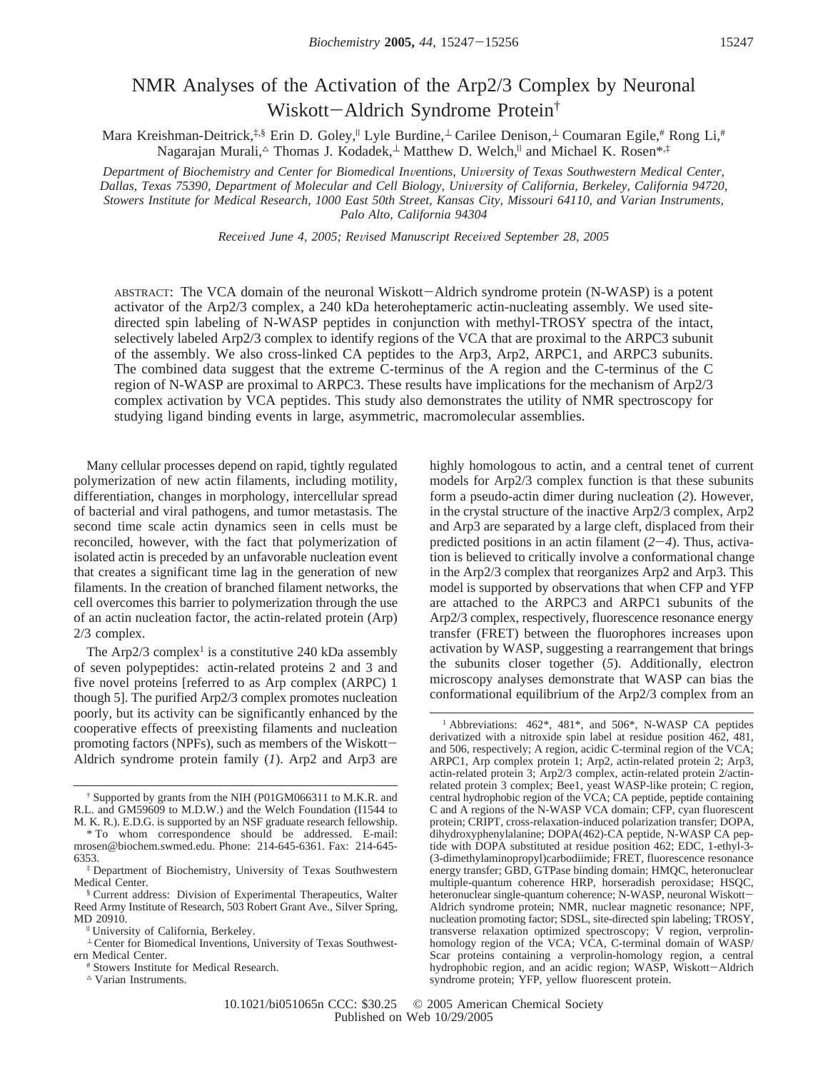# NMR Analyses of the Activation of the Arp2/3 Complex by Neuronal Wiskott-Aldrich Syndrome Protein†

Mara Kreishman-Deitrick,‡,§ Erin D. Goley,<sup>||</sup> Lyle Burdine,⊥ Carilee Denison,⊥ Coumaran Egile,# Rong Li,# Nagarajan Murali, $\triangle$  Thomas J. Kodadek, $\perp$  Matthew D. Welch,<sup>||</sup> and Michael K. Rosen\*, $\ddagger$ 

*Department of Biochemistry and Center for Biomedical Inventions, University of Texas Southwestern Medical Center,* Dallas, Texas 75390, Department of Molecular and Cell Biology, University of California, Berkeley, California 94720, *Stowers Institute for Medical Research, 1000 East 50th Street, Kansas City, Missouri 64110, and Varian Instruments, Palo Alto, California 94304*

*Recei*V*ed June 4, 2005; Re*V*ised Manuscript Recei*V*ed September 28, 2005*

ABSTRACT: The VCA domain of the neuronal Wiskott-Aldrich syndrome protein (N-WASP) is a potent activator of the Arp2/3 complex, a 240 kDa heteroheptameric actin-nucleating assembly. We used sitedirected spin labeling of N-WASP peptides in conjunction with methyl-TROSY spectra of the intact, selectively labeled Arp2/3 complex to identify regions of the VCA that are proximal to the ARPC3 subunit of the assembly. We also cross-linked CA peptides to the Arp3, Arp2, ARPC1, and ARPC3 subunits. The combined data suggest that the extreme C-terminus of the A region and the C-terminus of the C region of N-WASP are proximal to ARPC3. These results have implications for the mechanism of Arp2/3 complex activation by VCA peptides. This study also demonstrates the utility of NMR spectroscopy for studying ligand binding events in large, asymmetric, macromolecular assemblies.

Many cellular processes depend on rapid, tightly regulated polymerization of new actin filaments, including motility, differentiation, changes in morphology, intercellular spread of bacterial and viral pathogens, and tumor metastasis. The second time scale actin dynamics seen in cells must be reconciled, however, with the fact that polymerization of isolated actin is preceded by an unfavorable nucleation event that creates a significant time lag in the generation of new filaments. In the creation of branched filament networks, the cell overcomes this barrier to polymerization through the use of an actin nucleation factor, the actin-related protein (Arp) 2/3 complex.

The Arp2/3 complex<sup>1</sup> is a constitutive 240 kDa assembly of seven polypeptides: actin-related proteins 2 and 3 and five novel proteins [referred to as Arp complex (ARPC) 1 though 5]. The purified Arp2/3 complex promotes nucleation poorly, but its activity can be significantly enhanced by the cooperative effects of preexisting filaments and nucleation promoting factors (NPFs), such as members of the Wiskott-Aldrich syndrome protein family (*1*). Arp2 and Arp3 are highly homologous to actin, and a central tenet of current models for Arp2/3 complex function is that these subunits form a pseudo-actin dimer during nucleation (*2*). However, in the crystal structure of the inactive Arp2/3 complex, Arp2 and Arp3 are separated by a large cleft, displaced from their predicted positions in an actin filament  $(2-4)$ . Thus, activation is believed to critically involve a conformational change in the Arp2/3 complex that reorganizes Arp2 and Arp3. This model is supported by observations that when CFP and YFP are attached to the ARPC3 and ARPC1 subunits of the Arp2/3 complex, respectively, fluorescence resonance energy transfer (FRET) between the fluorophores increases upon activation by WASP, suggesting a rearrangement that brings the subunits closer together (*5*). Additionally, electron microscopy analyses demonstrate that WASP can bias the conformational equilibrium of the Arp2/3 complex from an

<sup>†</sup> Supported by grants from the NIH (P01GM066311 to M.K.R. and R.L. and GM59609 to M.D.W.) and the Welch Foundation (I1544 to M. K. R.). E.D.G. is supported by an NSF graduate research fellowship.

<sup>\*</sup> To whom correspondence should be addressed. E-mail: mrosen@biochem.swmed.edu. Phone: 214-645-6361. Fax: 214-645- 6353.

<sup>‡</sup> Department of Biochemistry, University of Texas Southwestern Medical Center.

<sup>§</sup> Current address: Division of Experimental Therapeutics, Walter Reed Army Institute of Research, 503 Robert Grant Ave., Silver Spring, MD 20910.<br>
<sup>II</sup> University of California, Berkeley.

<sup>⊥</sup> Center for Biomedical Inventions, University of Texas Southwestern Medical Center.

<sup>#</sup> Stowers Institute for Medical Research.

 $^\vartriangle$  Varian Instruments.

<sup>1</sup> Abbreviations: 462\*, 481\*, and 506\*, N-WASP CA peptides derivatized with a nitroxide spin label at residue position 462, 481, and 506, respectively; A region, acidic C-terminal region of the VCA; ARPC1, Arp complex protein 1; Arp2, actin-related protein 2; Arp3, actin-related protein 3; Arp2/3 complex, actin-related protein 2/actinrelated protein 3 complex; Bee1, yeast WASP-like protein; C region, central hydrophobic region of the VCA; CA peptide, peptide containing C and A regions of the N-WASP VCA domain; CFP, cyan fluorescent protein; CRIPT, cross-relaxation-induced polarization transfer; DOPA, dihydroxyphenylalanine; DOPA(462)-CA peptide, N-WASP CA peptide with DOPA substituted at residue position 462; EDC, 1-ethyl-3- (3-dimethylaminopropyl)carbodiimide; FRET, fluorescence resonance energy transfer; GBD, GTPase binding domain; HMQC, heteronuclear multiple-quantum coherence HRP, horseradish peroxidase; HSQC, heteronuclear single-quantum coherence; N-WASP, neuronal Wiskott-Aldrich syndrome protein; NMR, nuclear magnetic resonance; NPF, nucleation promoting factor; SDSL, site-directed spin labeling; TROSY, transverse relaxation optimized spectroscopy; V region, verprolinhomology region of the VCA; VCA, C-terminal domain of WASP/ Scar proteins containing a verprolin-homology region, a central hydrophobic region, and an acidic region; WASP, Wiskott-Aldrich syndrome protein; YFP, yellow fluorescent protein.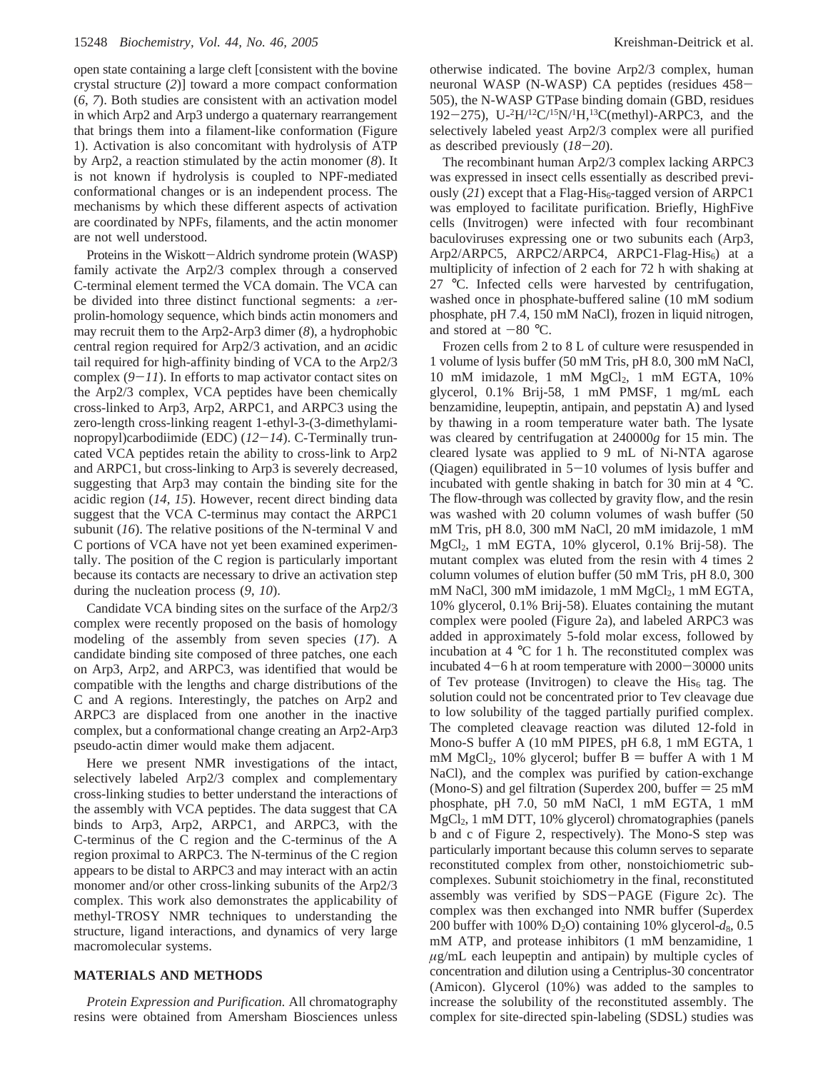open state containing a large cleft [consistent with the bovine crystal structure (*2*)] toward a more compact conformation (*6*, *7*). Both studies are consistent with an activation model in which Arp2 and Arp3 undergo a quaternary rearrangement that brings them into a filament-like conformation (Figure 1). Activation is also concomitant with hydrolysis of ATP by Arp2, a reaction stimulated by the actin monomer (*8*). It is not known if hydrolysis is coupled to NPF-mediated conformational changes or is an independent process. The mechanisms by which these different aspects of activation are coordinated by NPFs, filaments, and the actin monomer are not well understood.

Proteins in the Wiskott-Aldrich syndrome protein (WASP) family activate the Arp2/3 complex through a conserved C-terminal element termed the VCA domain. The VCA can be divided into three distinct functional segments: a  $v$ erprolin-homology sequence, which binds actin monomers and may recruit them to the Arp2-Arp3 dimer (*8*), a hydrophobic *c*entral region required for Arp2/3 activation, and an *a*cidic tail required for high-affinity binding of VCA to the Arp2/3 complex  $(9-11)$ . In efforts to map activator contact sites on the Arp2/3 complex, VCA peptides have been chemically cross-linked to Arp3, Arp2, ARPC1, and ARPC3 using the zero-length cross-linking reagent 1-ethyl-3-(3-dimethylaminopropyl)carbodiimide (EDC) (*12*-*14*). C-Terminally truncated VCA peptides retain the ability to cross-link to Arp2 and ARPC1, but cross-linking to Arp3 is severely decreased, suggesting that Arp3 may contain the binding site for the acidic region (*14*, *15*). However, recent direct binding data suggest that the VCA C-terminus may contact the ARPC1 subunit (16). The relative positions of the N-terminal V and C portions of VCA have not yet been examined experimentally. The position of the C region is particularly important because its contacts are necessary to drive an activation step during the nucleation process (*9*, *10*).

Candidate VCA binding sites on the surface of the Arp2/3 complex were recently proposed on the basis of homology modeling of the assembly from seven species (*17*). A candidate binding site composed of three patches, one each on Arp3, Arp2, and ARPC3, was identified that would be compatible with the lengths and charge distributions of the C and A regions. Interestingly, the patches on Arp2 and ARPC3 are displaced from one another in the inactive complex, but a conformational change creating an Arp2-Arp3 pseudo-actin dimer would make them adjacent.

Here we present NMR investigations of the intact, selectively labeled Arp2/3 complex and complementary cross-linking studies to better understand the interactions of the assembly with VCA peptides. The data suggest that CA binds to Arp3, Arp2, ARPC1, and ARPC3, with the C-terminus of the C region and the C-terminus of the A region proximal to ARPC3. The N-terminus of the C region appears to be distal to ARPC3 and may interact with an actin monomer and/or other cross-linking subunits of the Arp2/3 complex. This work also demonstrates the applicability of methyl-TROSY NMR techniques to understanding the structure, ligand interactions, and dynamics of very large macromolecular systems.

# **MATERIALS AND METHODS**

*Protein Expression and Purification.* All chromatography resins were obtained from Amersham Biosciences unless

otherwise indicated. The bovine Arp2/3 complex, human neuronal WASP (N-WASP) CA peptides (residues 458- 505), the N-WASP GTPase binding domain (GBD, residues 192–275),  $U^{-2}H^{12}C^{15}N^{1}H^{13}C$ (methyl)-ARPC3, and the selectively labeled yeast Arp?/3 complex were all purified selectively labeled yeast Arp2/3 complex were all purified as described previously (*18*-*20*).

The recombinant human Arp2/3 complex lacking ARPC3 was expressed in insect cells essentially as described previously  $(21)$  except that a Flag-His<sub>6</sub>-tagged version of ARPC1 was employed to facilitate purification. Briefly, HighFive cells (Invitrogen) were infected with four recombinant baculoviruses expressing one or two subunits each (Arp3, Arp2/ARPC5, ARPC2/ARPC4, ARPC1-Flag-His $_6$ ) at a multiplicity of infection of 2 each for 72 h with shaking at 27 °C. Infected cells were harvested by centrifugation, washed once in phosphate-buffered saline (10 mM sodium phosphate, pH 7.4, 150 mM NaCl), frozen in liquid nitrogen, and stored at  $-80$  °C.

Frozen cells from 2 to 8 L of culture were resuspended in 1 volume of lysis buffer (50 mM Tris, pH 8.0, 300 mM NaCl, 10 mM imidazole, 1 mM MgCl<sub>2</sub>, 1 mM EGTA, 10% glycerol, 0.1% Brij-58, 1 mM PMSF, 1 mg/mL each benzamidine, leupeptin, antipain, and pepstatin A) and lysed by thawing in a room temperature water bath. The lysate was cleared by centrifugation at 240000*g* for 15 min. The cleared lysate was applied to 9 mL of Ni-NTA agarose (Qiagen) equilibrated in  $5-10$  volumes of lysis buffer and incubated with gentle shaking in batch for 30 min at 4 °C. The flow-through was collected by gravity flow, and the resin was washed with 20 column volumes of wash buffer (50 mM Tris, pH 8.0, 300 mM NaCl, 20 mM imidazole, 1 mM MgCl2, 1 mM EGTA, 10% glycerol, 0.1% Brij-58). The mutant complex was eluted from the resin with 4 times 2 column volumes of elution buffer (50 mM Tris, pH 8.0, 300 mM NaCl, 300 mM imidazole, 1 mM MgCl<sub>2</sub>, 1 mM EGTA, 10% glycerol, 0.1% Brij-58). Eluates containing the mutant complex were pooled (Figure 2a), and labeled ARPC3 was added in approximately 5-fold molar excess, followed by incubation at 4 °C for 1 h. The reconstituted complex was incubated  $4-6$  h at room temperature with  $2000-30000$  units of Tev protease (Invitrogen) to cleave the  $His<sub>6</sub>$  tag. The solution could not be concentrated prior to Tev cleavage due to low solubility of the tagged partially purified complex. The completed cleavage reaction was diluted 12-fold in Mono-S buffer A (10 mM PIPES, pH 6.8, 1 mM EGTA, 1 mM MgCl<sub>2</sub>, 10% glycerol; buffer B = buffer A with 1 M NaCl), and the complex was purified by cation-exchange (Mono-S) and gel filtration (Superdex 200, buffer  $= 25$  mM phosphate, pH 7.0, 50 mM NaCl, 1 mM EGTA, 1 mM MgCl2, 1 mM DTT, 10% glycerol) chromatographies (panels b and c of Figure 2, respectively). The Mono-S step was particularly important because this column serves to separate reconstituted complex from other, nonstoichiometric subcomplexes. Subunit stoichiometry in the final, reconstituted assembly was verified by SDS-PAGE (Figure 2c). The complex was then exchanged into NMR buffer (Superdex 200 buffer with 100%  $D_2O$ ) containing 10% glycerol- $d_8$ , 0.5 mM ATP, and protease inhibitors (1 mM benzamidine, 1 *µ*g/mL each leupeptin and antipain) by multiple cycles of concentration and dilution using a Centriplus-30 concentrator (Amicon). Glycerol (10%) was added to the samples to increase the solubility of the reconstituted assembly. The complex for site-directed spin-labeling (SDSL) studies was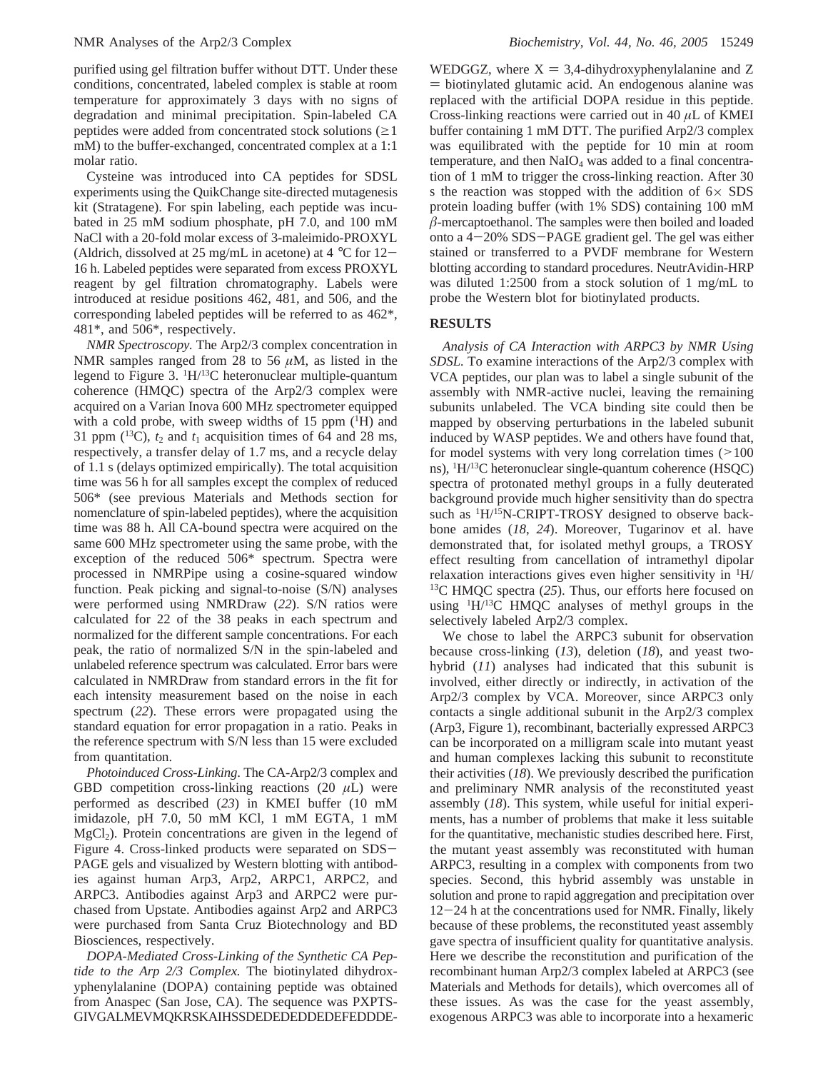purified using gel filtration buffer without DTT. Under these conditions, concentrated, labeled complex is stable at room temperature for approximately 3 days with no signs of degradation and minimal precipitation. Spin-labeled CA peptides were added from concentrated stock solutions  $(\geq 1)$ mM) to the buffer-exchanged, concentrated complex at a 1:1 molar ratio.

Cysteine was introduced into CA peptides for SDSL experiments using the QuikChange site-directed mutagenesis kit (Stratagene). For spin labeling, each peptide was incubated in 25 mM sodium phosphate, pH 7.0, and 100 mM NaCl with a 20-fold molar excess of 3-maleimido-PROXYL (Aldrich, dissolved at 25 mg/mL in acetone) at 4  $^{\circ}$ C for 12-16 h. Labeled peptides were separated from excess PROXYL reagent by gel filtration chromatography. Labels were introduced at residue positions 462, 481, and 506, and the corresponding labeled peptides will be referred to as 462\*, 481\*, and 506\*, respectively.

*NMR Spectroscopy.* The Arp2/3 complex concentration in NMR samples ranged from 28 to 56 *µ*M, as listed in the legend to Figure 3. <sup>1</sup>H/<sup>13</sup>C heteronuclear multiple-quantum coherence (HMQC) spectra of the Arp2/3 complex were acquired on a Varian Inova 600 MHz spectrometer equipped with a cold probe, with sweep widths of  $15$  ppm  $(^1H)$  and 31 ppm  $(^{13}C)$ ,  $t_2$  and  $t_1$  acquisition times of 64 and 28 ms, respectively, a transfer delay of 1.7 ms, and a recycle delay of 1.1 s (delays optimized empirically). The total acquisition time was 56 h for all samples except the complex of reduced 506\* (see previous Materials and Methods section for nomenclature of spin-labeled peptides), where the acquisition time was 88 h. All CA-bound spectra were acquired on the same 600 MHz spectrometer using the same probe, with the exception of the reduced 506\* spectrum. Spectra were processed in NMRPipe using a cosine-squared window function. Peak picking and signal-to-noise (S/N) analyses were performed using NMRDraw (*22*). S/N ratios were calculated for 22 of the 38 peaks in each spectrum and normalized for the different sample concentrations. For each peak, the ratio of normalized S/N in the spin-labeled and unlabeled reference spectrum was calculated. Error bars were calculated in NMRDraw from standard errors in the fit for each intensity measurement based on the noise in each spectrum (*22*). These errors were propagated using the standard equation for error propagation in a ratio. Peaks in the reference spectrum with S/N less than 15 were excluded from quantitation.

*Photoinduced Cross-Linking*. The CA-Arp2/3 complex and GBD competition cross-linking reactions (20 *µ*L) were performed as described (*23*) in KMEI buffer (10 mM imidazole, pH 7.0, 50 mM KCl, 1 mM EGTA, 1 mM  $MgCl<sub>2</sub>$ ). Protein concentrations are given in the legend of Figure 4. Cross-linked products were separated on SDS-PAGE gels and visualized by Western blotting with antibodies against human Arp3, Arp2, ARPC1, ARPC2, and ARPC3. Antibodies against Arp3 and ARPC2 were purchased from Upstate. Antibodies against Arp2 and ARPC3 were purchased from Santa Cruz Biotechnology and BD Biosciences, respectively.

*DOPA-Mediated Cross-Linking of the Synthetic CA Peptide to the Arp 2/3 Complex.* The biotinylated dihydroxyphenylalanine (DOPA) containing peptide was obtained from Anaspec (San Jose, CA). The sequence was PXPTS-GIVGALMEVMOKRSKAIHSSDEDEDEDDEDEFEDDDE-

WEDGGZ, where  $X = 3,4$ -dihydroxyphenylalanine and Z  $=$  biotinylated glutamic acid. An endogenous alanine was replaced with the artificial DOPA residue in this peptide. Cross-linking reactions were carried out in 40 *µ*L of KMEI buffer containing 1 mM DTT. The purified Arp2/3 complex was equilibrated with the peptide for 10 min at room temperature, and then  $NaIO<sub>4</sub>$  was added to a final concentration of 1 mM to trigger the cross-linking reaction. After 30 s the reaction was stopped with the addition of  $6 \times$  SDS protein loading buffer (with 1% SDS) containing 100 mM  $β$ -mercaptoethanol. The samples were then boiled and loaded onto a 4-20% SDS-PAGE gradient gel. The gel was either stained or transferred to a PVDF membrane for Western blotting according to standard procedures. NeutrAvidin-HRP was diluted 1:2500 from a stock solution of 1 mg/mL to probe the Western blot for biotinylated products.

# **RESULTS**

*Analysis of CA Interaction with ARPC3 by NMR Using SDSL.* To examine interactions of the Arp2/3 complex with VCA peptides, our plan was to label a single subunit of the assembly with NMR-active nuclei, leaving the remaining subunits unlabeled. The VCA binding site could then be mapped by observing perturbations in the labeled subunit induced by WASP peptides. We and others have found that, for model systems with very long correlation times  $($ >100 ns), <sup>1</sup> H/13C heteronuclear single-quantum coherence (HSQC) spectra of protonated methyl groups in a fully deuterated background provide much higher sensitivity than do spectra such as <sup>1</sup>H/<sup>15</sup>N-CRIPT-TROSY designed to observe backbone amides (*18*, *24*). Moreover, Tugarinov et al. have demonstrated that, for isolated methyl groups, a TROSY effect resulting from cancellation of intramethyl dipolar relaxation interactions gives even higher sensitivity in <sup>1</sup>H/ 13C HMQC spectra (*25*). Thus, our efforts here focused on using  ${}^{1}H/{}^{13}C$  HMQC analyses of methyl groups in the selectively labeled Arp2/3 complex.

We chose to label the ARPC3 subunit for observation because cross-linking (*13*), deletion (*18*), and yeast twohybrid (*11*) analyses had indicated that this subunit is involved, either directly or indirectly, in activation of the Arp2/3 complex by VCA. Moreover, since ARPC3 only contacts a single additional subunit in the Arp2/3 complex (Arp3, Figure 1), recombinant, bacterially expressed ARPC3 can be incorporated on a milligram scale into mutant yeast and human complexes lacking this subunit to reconstitute their activities (*18*). We previously described the purification and preliminary NMR analysis of the reconstituted yeast assembly (*18*). This system, while useful for initial experiments, has a number of problems that make it less suitable for the quantitative, mechanistic studies described here. First, the mutant yeast assembly was reconstituted with human ARPC3, resulting in a complex with components from two species. Second, this hybrid assembly was unstable in solution and prone to rapid aggregation and precipitation over  $12-24$  h at the concentrations used for NMR. Finally, likely because of these problems, the reconstituted yeast assembly gave spectra of insufficient quality for quantitative analysis. Here we describe the reconstitution and purification of the recombinant human Arp2/3 complex labeled at ARPC3 (see Materials and Methods for details), which overcomes all of these issues. As was the case for the yeast assembly, exogenous ARPC3 was able to incorporate into a hexameric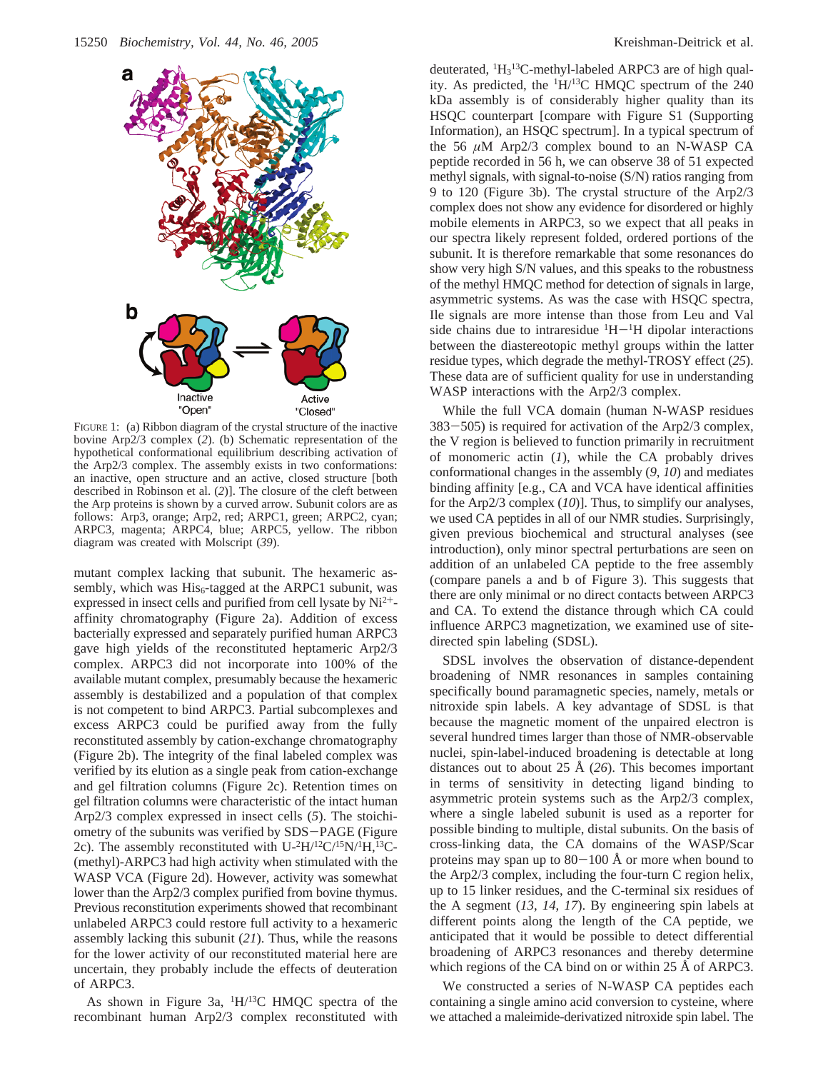

FIGURE 1: (a) Ribbon diagram of the crystal structure of the inactive bovine Arp2/3 complex (*2*). (b) Schematic representation of the hypothetical conformational equilibrium describing activation of the Arp2/3 complex. The assembly exists in two conformations: an inactive, open structure and an active, closed structure [both described in Robinson et al. (*2*)]. The closure of the cleft between the Arp proteins is shown by a curved arrow. Subunit colors are as follows: Arp3, orange; Arp2, red; ARPC1, green; ARPC2, cyan; ARPC3, magenta; ARPC4, blue; ARPC5, yellow. The ribbon diagram was created with Molscript (*39*).

mutant complex lacking that subunit. The hexameric assembly, which was  $His<sub>6</sub>$ -tagged at the ARPC1 subunit, was expressed in insect cells and purified from cell lysate by Ni<sup>2+</sup>affinity chromatography (Figure 2a). Addition of excess bacterially expressed and separately purified human ARPC3 gave high yields of the reconstituted heptameric Arp2/3 complex. ARPC3 did not incorporate into 100% of the available mutant complex, presumably because the hexameric assembly is destabilized and a population of that complex is not competent to bind ARPC3. Partial subcomplexes and excess ARPC3 could be purified away from the fully reconstituted assembly by cation-exchange chromatography (Figure 2b). The integrity of the final labeled complex was verified by its elution as a single peak from cation-exchange and gel filtration columns (Figure 2c). Retention times on gel filtration columns were characteristic of the intact human Arp2/3 complex expressed in insect cells (*5*). The stoichiometry of the subunits was verified by SDS-PAGE (Figure 2c). The assembly reconstituted with  $U^{-2}H^{12}C^{15}N^{1}H^{13}C$ -(methyl)-ARPC3 had high activity when stimulated with the WASP VCA (Figure 2d). However, activity was somewhat lower than the Arp2/3 complex purified from bovine thymus. Previous reconstitution experiments showed that recombinant unlabeled ARPC3 could restore full activity to a hexameric assembly lacking this subunit (*21*). Thus, while the reasons for the lower activity of our reconstituted material here are uncertain, they probably include the effects of deuteration of ARPC3.

As shown in Figure 3a,  $\frac{1}{11}$  $H$ <sup>13</sup>C HMQC spectra of the recombinant human Arp2/3 complex reconstituted with

deuterated, <sup>1</sup>H<sub>3</sub><sup>13</sup>C-methyl-labeled ARPC3 are of high quality. As predicted, the <sup>1</sup>H/<sup>13</sup>C HMQC spectrum of the 240 kDa assembly is of considerably higher quality than its HSQC counterpart [compare with Figure S1 (Supporting Information), an HSQC spectrum]. In a typical spectrum of the 56 *µ*M Arp2/3 complex bound to an N-WASP CA peptide recorded in 56 h, we can observe 38 of 51 expected methyl signals, with signal-to-noise (S/N) ratios ranging from 9 to 120 (Figure 3b). The crystal structure of the Arp2/3 complex does not show any evidence for disordered or highly mobile elements in ARPC3, so we expect that all peaks in our spectra likely represent folded, ordered portions of the subunit. It is therefore remarkable that some resonances do show very high S/N values, and this speaks to the robustness of the methyl HMQC method for detection of signals in large, asymmetric systems. As was the case with HSQC spectra, Ile signals are more intense than those from Leu and Val side chains due to intraresidue  ${}^{1}H-{}^{1}H$  dipolar interactions<br>between the diastereotopic methyl groups within the latter between the diastereotopic methyl groups within the latter residue types, which degrade the methyl-TROSY effect (*25*). These data are of sufficient quality for use in understanding WASP interactions with the Arp2/3 complex.

While the full VCA domain (human N-WASP residues <sup>383</sup>-505) is required for activation of the Arp2/3 complex, the V region is believed to function primarily in recruitment of monomeric actin (*1*), while the CA probably drives conformational changes in the assembly (*9*, *10*) and mediates binding affinity [e.g., CA and VCA have identical affinities for the Arp2/3 complex (*10*)]. Thus, to simplify our analyses, we used CA peptides in all of our NMR studies. Surprisingly, given previous biochemical and structural analyses (see introduction), only minor spectral perturbations are seen on addition of an unlabeled CA peptide to the free assembly (compare panels a and b of Figure 3). This suggests that there are only minimal or no direct contacts between ARPC3 and CA. To extend the distance through which CA could influence ARPC3 magnetization, we examined use of sitedirected spin labeling (SDSL).

SDSL involves the observation of distance-dependent broadening of NMR resonances in samples containing specifically bound paramagnetic species, namely, metals or nitroxide spin labels. A key advantage of SDSL is that because the magnetic moment of the unpaired electron is several hundred times larger than those of NMR-observable nuclei, spin-label-induced broadening is detectable at long distances out to about 25 Å (*26*). This becomes important in terms of sensitivity in detecting ligand binding to asymmetric protein systems such as the Arp2/3 complex, where a single labeled subunit is used as a reporter for possible binding to multiple, distal subunits. On the basis of cross-linking data, the CA domains of the WASP/Scar proteins may span up to  $80-100$  Å or more when bound to the Arp2/3 complex, including the four-turn C region helix, up to 15 linker residues, and the C-terminal six residues of the A segment (*13*, *14*, *17*). By engineering spin labels at different points along the length of the CA peptide, we anticipated that it would be possible to detect differential broadening of ARPC3 resonances and thereby determine which regions of the CA bind on or within 25 Å of ARPC3.

We constructed a series of N-WASP CA peptides each containing a single amino acid conversion to cysteine, where we attached a maleimide-derivatized nitroxide spin label. The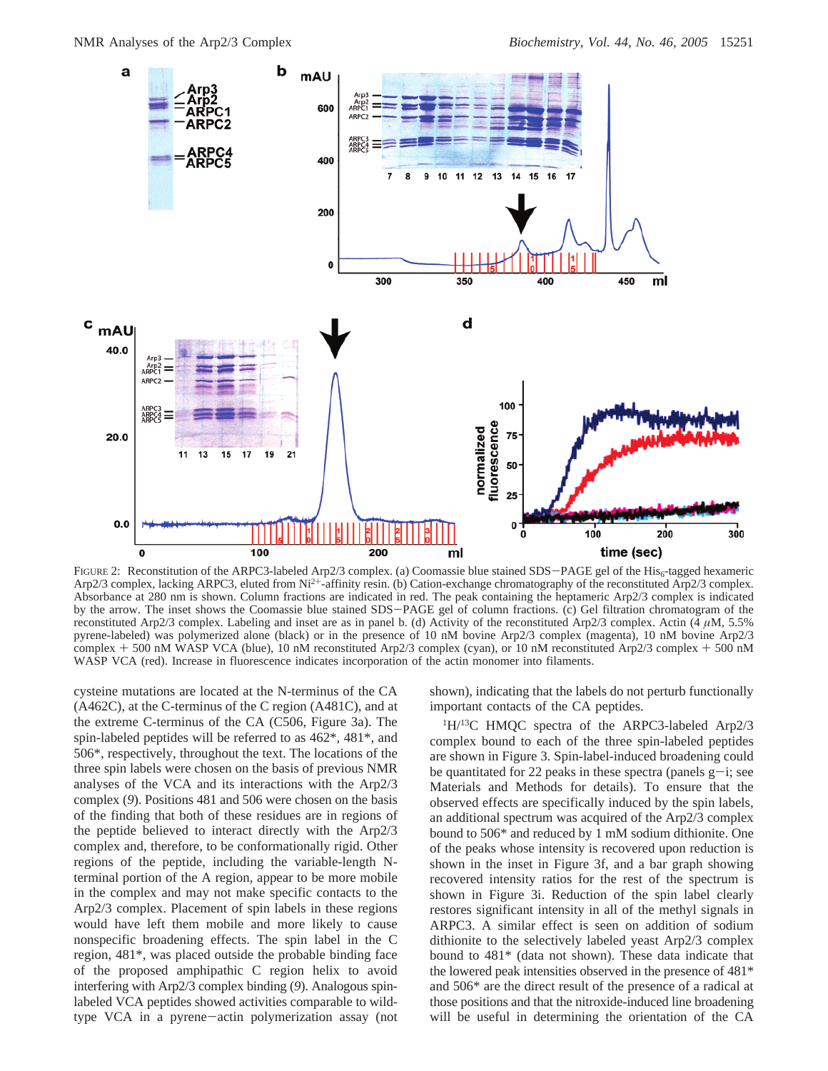

FIGURE 2: Reconstitution of the ARPC3-labeled Arp2/3 complex. (a) Coomassie blue stained SDS–PAGE gel of the His<sub>6</sub>-tagged hexameric<br>Arp2/3 complex, lacking ARPC3, eluted from Ni<sup>2+</sup>-affinity resin. (b) Cation-exchange chr Absorbance at 280 nm is shown. Column fractions are indicated in red. The peak containing the heptameric Arp2/3 complex is indicated by the arrow. The inset shows the Coomassie blue stained SDS-PAGE gel of column fractions. (c) Gel filtration chromatogram of the reconstituted Arp2/3 complex. Labeling and inset are as in panel b. (d) Activity of the reconstituted Arp2/3 complex. Actin  $(\bar{4} \mu M, 5.5\%)$ pyrene-labeled) was polymerized alone (black) or in the presence of 10 nM bovine Arp2/3 complex (magenta), 10 nM bovine Arp2/3 complex  $+$  500 nM WASP VCA (blue), 10 nM reconstituted Arp2/3 complex (cyan), or 10 nM reconstituted Arp2/3 complex  $+$  500 nM WASP VCA (red). Increase in fluorescence indicates incorporation of the actin monomer into filaments.

cysteine mutations are located at the N-terminus of the CA (A462C), at the C-terminus of the C region (A481C), and at the extreme C-terminus of the CA (C506, Figure 3a). The spin-labeled peptides will be referred to as 462\*, 481\*, and 506\*, respectively, throughout the text. The locations of the three spin labels were chosen on the basis of previous NMR analyses of the VCA and its interactions with the Arp2/3 complex (*9*). Positions 481 and 506 were chosen on the basis of the finding that both of these residues are in regions of the peptide believed to interact directly with the Arp2/3 complex and, therefore, to be conformationally rigid. Other regions of the peptide, including the variable-length Nterminal portion of the A region, appear to be more mobile in the complex and may not make specific contacts to the Arp2/3 complex. Placement of spin labels in these regions would have left them mobile and more likely to cause nonspecific broadening effects. The spin label in the C region, 481\*, was placed outside the probable binding face of the proposed amphipathic C region helix to avoid interfering with Arp2/3 complex binding (*9*). Analogous spinlabeled VCA peptides showed activities comparable to wildtype VCA in a pyrene-actin polymerization assay (not

shown), indicating that the labels do not perturb functionally important contacts of the CA peptides.

<sup>1</sup>H/<sup>13</sup>C HMQC spectra of the ARPC3-labeled Arp2/3 complex bound to each of the three spin-labeled peptides are shown in Figure 3. Spin-label-induced broadening could be quantitated for 22 peaks in these spectra (panels  $g-i$ ; see Materials and Methods for details). To ensure that the observed effects are specifically induced by the spin labels, an additional spectrum was acquired of the Arp2/3 complex bound to 506\* and reduced by 1 mM sodium dithionite. One of the peaks whose intensity is recovered upon reduction is shown in the inset in Figure 3f, and a bar graph showing recovered intensity ratios for the rest of the spectrum is shown in Figure 3i. Reduction of the spin label clearly restores significant intensity in all of the methyl signals in ARPC3. A similar effect is seen on addition of sodium dithionite to the selectively labeled yeast Arp2/3 complex bound to 481\* (data not shown). These data indicate that the lowered peak intensities observed in the presence of 481\* and 506\* are the direct result of the presence of a radical at those positions and that the nitroxide-induced line broadening will be useful in determining the orientation of the CA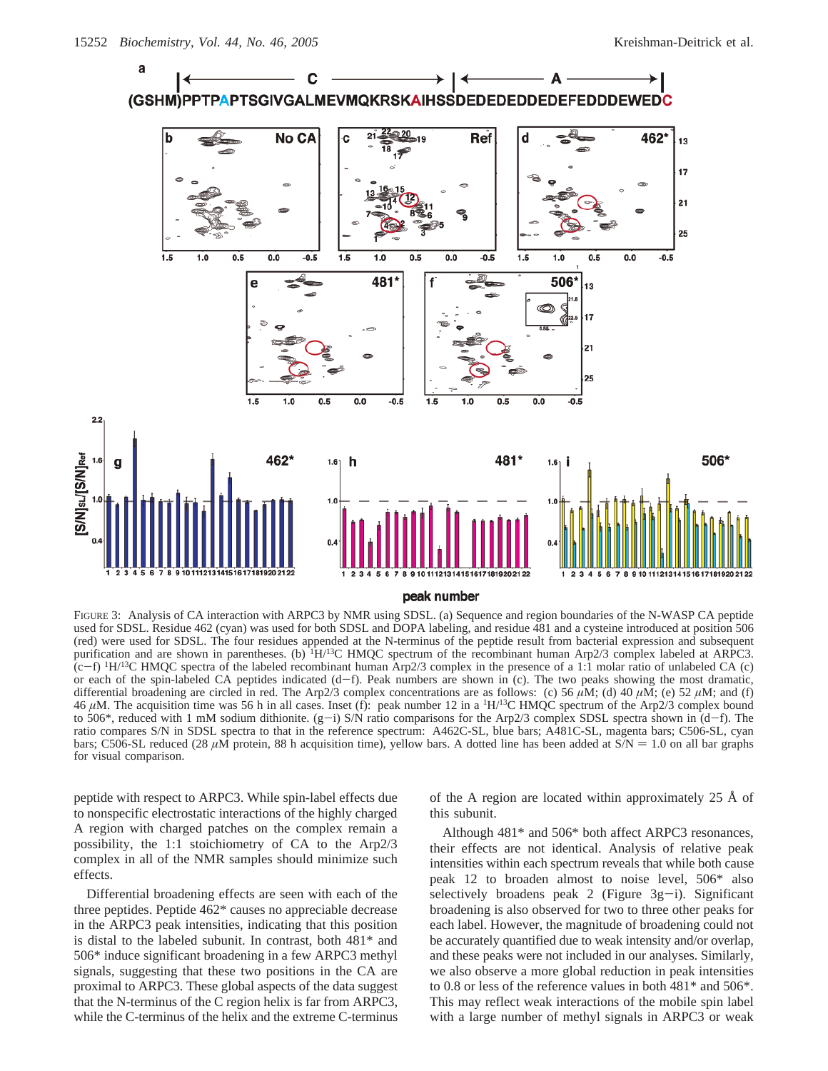

FIGURE 3: Analysis of CA interaction with ARPC3 by NMR using SDSL. (a) Sequence and region boundaries of the N-WASP CA peptide used for SDSL. Residue 462 (cyan) was used for both SDSL and DOPA labeling, and residue 481 and a cysteine introduced at position 506 (red) were used for SDSL. The four residues appended at the N-terminus of the peptide result from bacterial expression and subsequent purification and are shown in parentheses. (b) <sup>1</sup>H/<sup>13</sup>C HMQC spectrum of the recombinant human Arp2/3 complex labeled at ARPC3.  $(c-f)^1H^{13}C$  HMQC spectra of the labeled recombinant human Arp2/3 complex in the presence of a 1:1 molar ratio of unlabeled CA (c) or each of the spin-labeled CA peptides indicated  $(d-f)$ . Peak numbers are shown in (c). The two peaks showing the most dramatic, differential broadening are circled in red. The Arp2/3 complex concentrations are as follows: (c) 56  $\mu$ M; (d) 40  $\mu$ M; (e) 52  $\mu$ M; and (f) 46  $\mu$ M. The acquisition time was 56 h in all cases. Inset (f): peak number 12 in a <sup>1</sup>H/<sup>13</sup>C HMQC spectrum of the Arp2/3 complex bound to 506\*, reduced with 1 mM sodium dithionite.  $(g-i)$  S/N ratio comparisons for the Arp2/3 complex SDSL spectra shown in  $(d-f)$ . The ratio compares S/N in SDSL spectra to that in the reference spectrum: A462C-SL, blue bars; A481C-SL, magenta bars; C506-SL, cyan bars; C506-SL reduced (28  $\mu$ M protein, 88 h acquisition time), yellow bars. A dotted line has been added at  $S/N = 1.0$  on all bar graphs for visual comparison.

peptide with respect to ARPC3. While spin-label effects due to nonspecific electrostatic interactions of the highly charged A region with charged patches on the complex remain a possibility, the 1:1 stoichiometry of CA to the Arp2/3 complex in all of the NMR samples should minimize such effects.

Differential broadening effects are seen with each of the three peptides. Peptide 462\* causes no appreciable decrease in the ARPC3 peak intensities, indicating that this position is distal to the labeled subunit. In contrast, both 481\* and 506\* induce significant broadening in a few ARPC3 methyl signals, suggesting that these two positions in the CA are proximal to ARPC3. These global aspects of the data suggest that the N-terminus of the C region helix is far from ARPC3, while the C-terminus of the helix and the extreme C-terminus

of the A region are located within approximately 25 Å of this subunit.

Although 481\* and 506\* both affect ARPC3 resonances, their effects are not identical. Analysis of relative peak intensities within each spectrum reveals that while both cause peak 12 to broaden almost to noise level, 506\* also selectively broadens peak 2 (Figure  $3g-i$ ). Significant broadening is also observed for two to three other peaks for each label. However, the magnitude of broadening could not be accurately quantified due to weak intensity and/or overlap, and these peaks were not included in our analyses. Similarly, we also observe a more global reduction in peak intensities to 0.8 or less of the reference values in both 481\* and 506\*. This may reflect weak interactions of the mobile spin label with a large number of methyl signals in ARPC3 or weak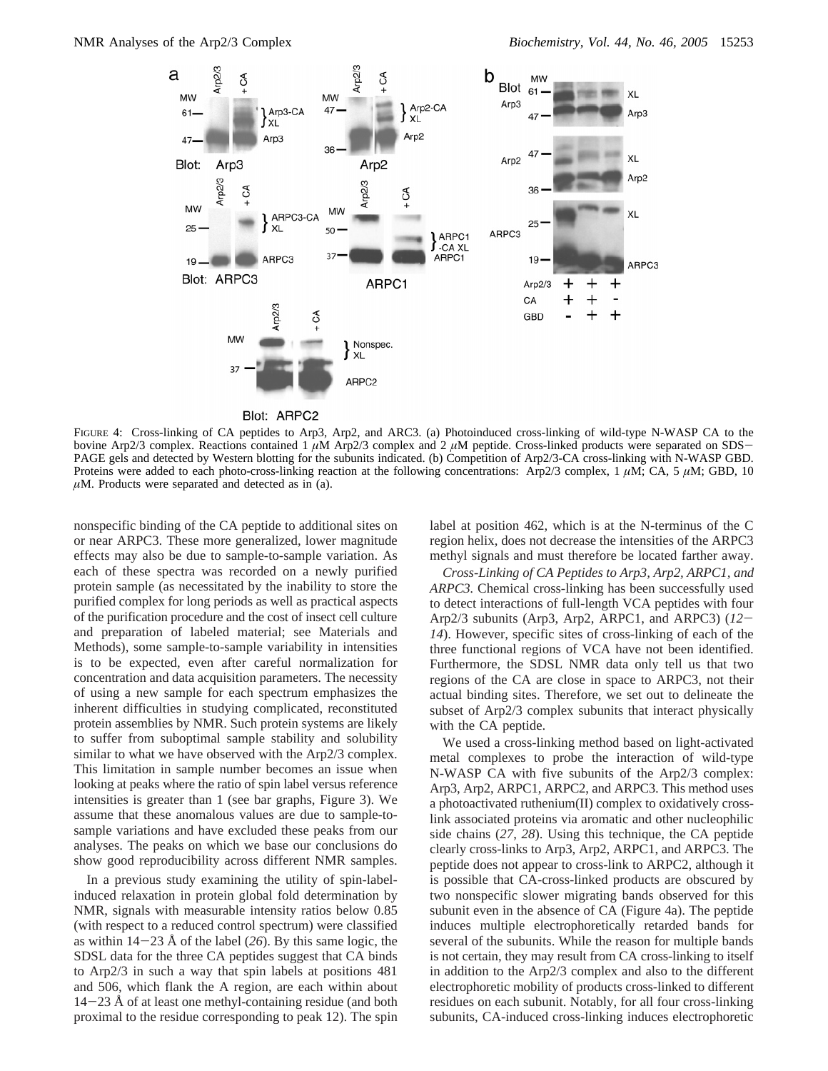

FIGURE 4: Cross-linking of CA peptides to Arp3, Arp2, and ARC3. (a) Photoinduced cross-linking of wild-type N-WASP CA to the bovine Arp2/3 complex. Reactions contained 1 *<sup>µ</sup>*M Arp2/3 complex and 2 *<sup>µ</sup>*M peptide. Cross-linked products were separated on SDS-PAGE gels and detected by Western blotting for the subunits indicated. (b) Competition of Arp2/3-CA cross-linking with N-WASP GBD. Proteins were added to each photo-cross-linking reaction at the following concentrations: Arp2/3 complex, 1 *µ*M; CA, 5 *µ*M; GBD, 10  $\mu$ M. Products were separated and detected as in (a).

nonspecific binding of the CA peptide to additional sites on or near ARPC3. These more generalized, lower magnitude effects may also be due to sample-to-sample variation. As each of these spectra was recorded on a newly purified protein sample (as necessitated by the inability to store the purified complex for long periods as well as practical aspects of the purification procedure and the cost of insect cell culture and preparation of labeled material; see Materials and Methods), some sample-to-sample variability in intensities is to be expected, even after careful normalization for concentration and data acquisition parameters. The necessity of using a new sample for each spectrum emphasizes the inherent difficulties in studying complicated, reconstituted protein assemblies by NMR. Such protein systems are likely to suffer from suboptimal sample stability and solubility similar to what we have observed with the Arp2/3 complex. This limitation in sample number becomes an issue when looking at peaks where the ratio of spin label versus reference intensities is greater than 1 (see bar graphs, Figure 3). We assume that these anomalous values are due to sample-tosample variations and have excluded these peaks from our analyses. The peaks on which we base our conclusions do show good reproducibility across different NMR samples.

In a previous study examining the utility of spin-labelinduced relaxation in protein global fold determination by NMR, signals with measurable intensity ratios below 0.85 (with respect to a reduced control spectrum) were classified as within 14-23 Å of the label (*26*). By this same logic, the SDSL data for the three CA peptides suggest that CA binds to Arp2/3 in such a way that spin labels at positions 481 and 506, which flank the A region, are each within about  $14-23$  Å of at least one methyl-containing residue (and both proximal to the residue corresponding to peak 12). The spin label at position 462, which is at the N-terminus of the C region helix, does not decrease the intensities of the ARPC3 methyl signals and must therefore be located farther away.

*Cross-Linking of CA Peptides to Arp3, Arp2, ARPC1, and ARPC3.* Chemical cross-linking has been successfully used to detect interactions of full-length VCA peptides with four Arp2/3 subunits (Arp3, Arp2, ARPC1, and ARPC3) (*12*- *14*). However, specific sites of cross-linking of each of the three functional regions of VCA have not been identified. Furthermore, the SDSL NMR data only tell us that two regions of the CA are close in space to ARPC3, not their actual binding sites. Therefore, we set out to delineate the subset of Arp2/3 complex subunits that interact physically with the CA peptide.

We used a cross-linking method based on light-activated metal complexes to probe the interaction of wild-type N-WASP CA with five subunits of the Arp2/3 complex: Arp3, Arp2, ARPC1, ARPC2, and ARPC3. This method uses a photoactivated ruthenium(II) complex to oxidatively crosslink associated proteins via aromatic and other nucleophilic side chains (*27*, *28*). Using this technique, the CA peptide clearly cross-links to Arp3, Arp2, ARPC1, and ARPC3. The peptide does not appear to cross-link to ARPC2, although it is possible that CA-cross-linked products are obscured by two nonspecific slower migrating bands observed for this subunit even in the absence of CA (Figure 4a). The peptide induces multiple electrophoretically retarded bands for several of the subunits. While the reason for multiple bands is not certain, they may result from CA cross-linking to itself in addition to the Arp2/3 complex and also to the different electrophoretic mobility of products cross-linked to different residues on each subunit. Notably, for all four cross-linking subunits, CA-induced cross-linking induces electrophoretic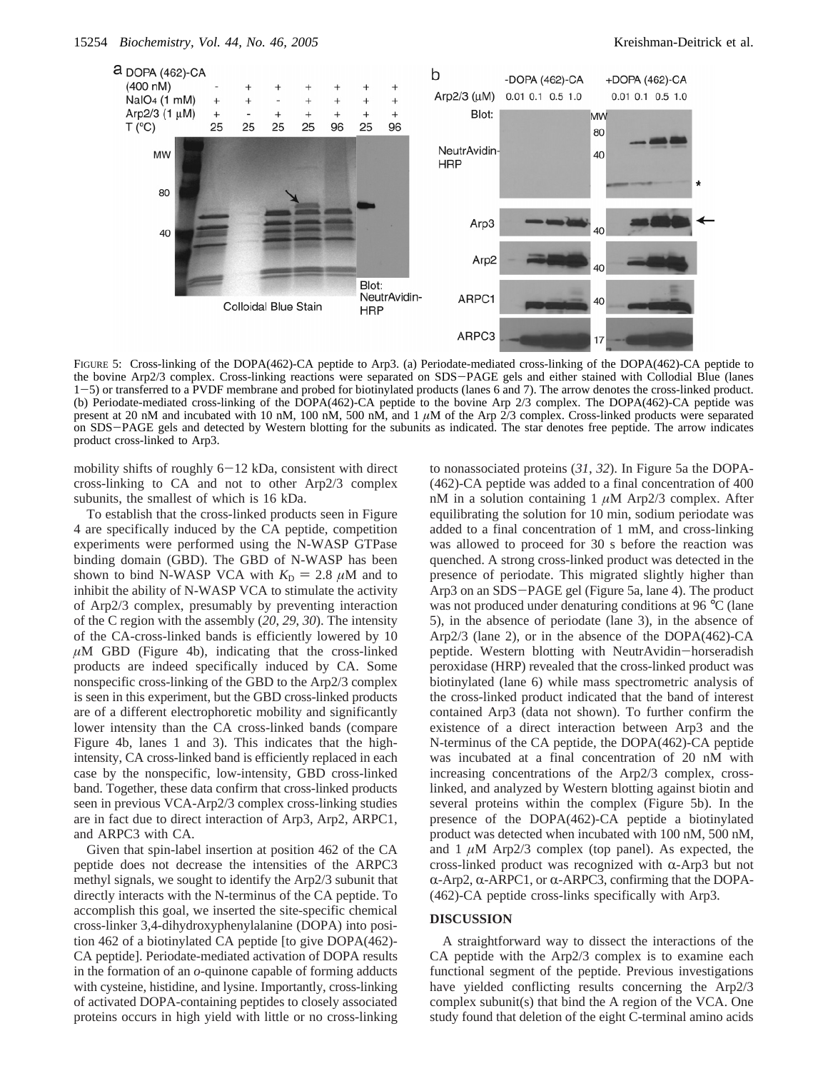

FIGURE 5: Cross-linking of the DOPA(462)-CA peptide to Arp3. (a) Periodate-mediated cross-linking of the DOPA(462)-CA peptide to the bovine Arp2/3 complex. Cross-linking reactions were separated on SDS-PAGE gels and either stained with Collodial Blue (lanes <sup>1</sup>-5) or transferred to a PVDF membrane and probed for biotinylated products (lanes 6 and 7). The arrow denotes the cross-linked product. (b) Periodate-mediated cross-linking of the DOPA(462)-CA peptide to the bovine Arp 2/3 complex. The DOPA(462)-CA peptide was present at 20 nM and incubated with 10 nM, 100 nM, 500 nM, and 1 *µ*M of the Arp 2/3 complex. Cross-linked products were separated on SDS-PAGE gels and detected by Western blotting for the subunits as indicated. The star denotes free peptide. The arrow indicates product cross-linked to Arp3.

mobility shifts of roughly 6-12 kDa, consistent with direct cross-linking to CA and not to other Arp2/3 complex subunits, the smallest of which is 16 kDa.

To establish that the cross-linked products seen in Figure 4 are specifically induced by the CA peptide, competition experiments were performed using the N-WASP GTPase binding domain (GBD). The GBD of N-WASP has been shown to bind N-WASP VCA with  $K_D = 2.8 \mu M$  and to inhibit the ability of N-WASP VCA to stimulate the activity of Arp2/3 complex, presumably by preventing interaction of the C region with the assembly (*20*, *29*, *30*). The intensity of the CA-cross-linked bands is efficiently lowered by 10 *µ*M GBD (Figure 4b), indicating that the cross-linked products are indeed specifically induced by CA. Some nonspecific cross-linking of the GBD to the Arp2/3 complex is seen in this experiment, but the GBD cross-linked products are of a different electrophoretic mobility and significantly lower intensity than the CA cross-linked bands (compare Figure 4b, lanes 1 and 3). This indicates that the highintensity, CA cross-linked band is efficiently replaced in each case by the nonspecific, low-intensity, GBD cross-linked band. Together, these data confirm that cross-linked products seen in previous VCA-Arp2/3 complex cross-linking studies are in fact due to direct interaction of Arp3, Arp2, ARPC1, and ARPC3 with CA.

Given that spin-label insertion at position 462 of the CA peptide does not decrease the intensities of the ARPC3 methyl signals, we sought to identify the Arp2/3 subunit that directly interacts with the N-terminus of the CA peptide. To accomplish this goal, we inserted the site-specific chemical cross-linker 3,4-dihydroxyphenylalanine (DOPA) into position 462 of a biotinylated CA peptide [to give DOPA(462)- CA peptide]. Periodate-mediated activation of DOPA results in the formation of an *o*-quinone capable of forming adducts with cysteine, histidine, and lysine. Importantly, cross-linking of activated DOPA-containing peptides to closely associated proteins occurs in high yield with little or no cross-linking

to nonassociated proteins (*31*, *32*). In Figure 5a the DOPA- (462)-CA peptide was added to a final concentration of 400 nM in a solution containing 1 *µ*M Arp2/3 complex. After equilibrating the solution for 10 min, sodium periodate was added to a final concentration of 1 mM, and cross-linking was allowed to proceed for 30 s before the reaction was quenched. A strong cross-linked product was detected in the presence of periodate. This migrated slightly higher than Arp3 on an SDS-PAGE gel (Figure 5a, lane 4). The product was not produced under denaturing conditions at 96 °C (lane 5), in the absence of periodate (lane 3), in the absence of Arp2/3 (lane 2), or in the absence of the DOPA(462)-CA peptide. Western blotting with NeutrAvidin-horseradish peroxidase (HRP) revealed that the cross-linked product was biotinylated (lane 6) while mass spectrometric analysis of the cross-linked product indicated that the band of interest contained Arp3 (data not shown). To further confirm the existence of a direct interaction between Arp3 and the N-terminus of the CA peptide, the DOPA(462)-CA peptide was incubated at a final concentration of 20 nM with increasing concentrations of the Arp2/3 complex, crosslinked, and analyzed by Western blotting against biotin and several proteins within the complex (Figure 5b). In the presence of the DOPA(462)-CA peptide a biotinylated product was detected when incubated with 100 nM, 500 nM, and 1 *µ*M Arp2/3 complex (top panel). As expected, the cross-linked product was recognized with  $\alpha$ -Arp3 but not  $\alpha$ -Arp2,  $\alpha$ -ARPC1, or  $\alpha$ -ARPC3, confirming that the DOPA-(462)-CA peptide cross-links specifically with Arp3.

### **DISCUSSION**

A straightforward way to dissect the interactions of the CA peptide with the Arp2/3 complex is to examine each functional segment of the peptide. Previous investigations have yielded conflicting results concerning the Arp2/3 complex subunit(s) that bind the A region of the VCA. One study found that deletion of the eight C-terminal amino acids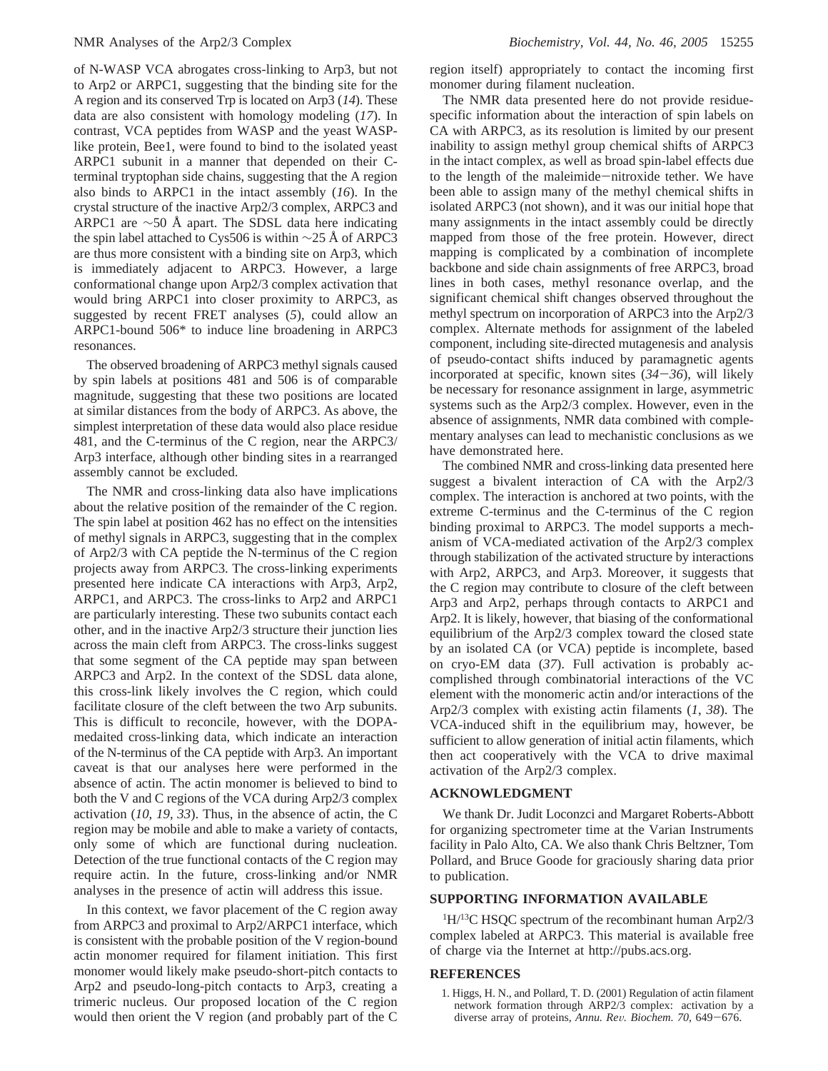of N-WASP VCA abrogates cross-linking to Arp3, but not to Arp2 or ARPC1, suggesting that the binding site for the A region and its conserved Trp is located on Arp3 (*14*). These data are also consistent with homology modeling (*17*). In contrast, VCA peptides from WASP and the yeast WASPlike protein, Bee1, were found to bind to the isolated yeast ARPC1 subunit in a manner that depended on their Cterminal tryptophan side chains, suggesting that the A region also binds to ARPC1 in the intact assembly (*16*). In the crystal structure of the inactive Arp2/3 complex, ARPC3 and ARPC1 are  $\sim$ 50 Å apart. The SDSL data here indicating the spin label attached to Cys506 is within  $\sim$ 25 Å of ARPC3 are thus more consistent with a binding site on Arp3, which is immediately adjacent to ARPC3. However, a large conformational change upon Arp2/3 complex activation that would bring ARPC1 into closer proximity to ARPC3, as suggested by recent FRET analyses (*5*), could allow an ARPC1-bound 506\* to induce line broadening in ARPC3 resonances.

The observed broadening of ARPC3 methyl signals caused by spin labels at positions 481 and 506 is of comparable magnitude, suggesting that these two positions are located at similar distances from the body of ARPC3. As above, the simplest interpretation of these data would also place residue 481, and the C-terminus of the C region, near the ARPC3/ Arp3 interface, although other binding sites in a rearranged assembly cannot be excluded.

The NMR and cross-linking data also have implications about the relative position of the remainder of the C region. The spin label at position 462 has no effect on the intensities of methyl signals in ARPC3, suggesting that in the complex of Arp2/3 with CA peptide the N-terminus of the C region projects away from ARPC3. The cross-linking experiments presented here indicate CA interactions with Arp3, Arp2, ARPC1, and ARPC3. The cross-links to Arp2 and ARPC1 are particularly interesting. These two subunits contact each other, and in the inactive Arp2/3 structure their junction lies across the main cleft from ARPC3. The cross-links suggest that some segment of the CA peptide may span between ARPC3 and Arp2. In the context of the SDSL data alone, this cross-link likely involves the C region, which could facilitate closure of the cleft between the two Arp subunits. This is difficult to reconcile, however, with the DOPAmedaited cross-linking data, which indicate an interaction of the N-terminus of the CA peptide with Arp3. An important caveat is that our analyses here were performed in the absence of actin. The actin monomer is believed to bind to both the V and C regions of the VCA during Arp2/3 complex activation (*10*, *19*, *33*). Thus, in the absence of actin, the C region may be mobile and able to make a variety of contacts, only some of which are functional during nucleation. Detection of the true functional contacts of the C region may require actin. In the future, cross-linking and/or NMR analyses in the presence of actin will address this issue.

In this context, we favor placement of the C region away from ARPC3 and proximal to Arp2/ARPC1 interface, which is consistent with the probable position of the V region-bound actin monomer required for filament initiation. This first monomer would likely make pseudo-short-pitch contacts to Arp2 and pseudo-long-pitch contacts to Arp3, creating a trimeric nucleus. Our proposed location of the C region would then orient the V region (and probably part of the C

region itself) appropriately to contact the incoming first monomer during filament nucleation.

The NMR data presented here do not provide residuespecific information about the interaction of spin labels on CA with ARPC3, as its resolution is limited by our present inability to assign methyl group chemical shifts of ARPC3 in the intact complex, as well as broad spin-label effects due to the length of the maleimide-nitroxide tether. We have been able to assign many of the methyl chemical shifts in isolated ARPC3 (not shown), and it was our initial hope that many assignments in the intact assembly could be directly mapped from those of the free protein. However, direct mapping is complicated by a combination of incomplete backbone and side chain assignments of free ARPC3, broad lines in both cases, methyl resonance overlap, and the significant chemical shift changes observed throughout the methyl spectrum on incorporation of ARPC3 into the Arp2/3 complex. Alternate methods for assignment of the labeled component, including site-directed mutagenesis and analysis of pseudo-contact shifts induced by paramagnetic agents incorporated at specific, known sites (*34*-*36*), will likely be necessary for resonance assignment in large, asymmetric systems such as the Arp2/3 complex. However, even in the absence of assignments, NMR data combined with complementary analyses can lead to mechanistic conclusions as we have demonstrated here.

The combined NMR and cross-linking data presented here suggest a bivalent interaction of CA with the Arp2/3 complex. The interaction is anchored at two points, with the extreme C-terminus and the C-terminus of the C region binding proximal to ARPC3. The model supports a mechanism of VCA-mediated activation of the Arp2/3 complex through stabilization of the activated structure by interactions with Arp2, ARPC3, and Arp3. Moreover, it suggests that the C region may contribute to closure of the cleft between Arp3 and Arp2, perhaps through contacts to ARPC1 and Arp2. It is likely, however, that biasing of the conformational equilibrium of the Arp2/3 complex toward the closed state by an isolated CA (or VCA) peptide is incomplete, based on cryo-EM data (*37*). Full activation is probably accomplished through combinatorial interactions of the VC element with the monomeric actin and/or interactions of the Arp2/3 complex with existing actin filaments (*1*, *38*). The VCA-induced shift in the equilibrium may, however, be sufficient to allow generation of initial actin filaments, which then act cooperatively with the VCA to drive maximal activation of the Arp2/3 complex.

# **ACKNOWLEDGMENT**

We thank Dr. Judit Loconzci and Margaret Roberts-Abbott for organizing spectrometer time at the Varian Instruments facility in Palo Alto, CA. We also thank Chris Beltzner, Tom Pollard, and Bruce Goode for graciously sharing data prior to publication.

#### **SUPPORTING INFORMATION AVAILABLE**

1 H/13C HSQC spectrum of the recombinant human Arp2/3 complex labeled at ARPC3. This material is available free of charge via the Internet at http://pubs.acs.org.

## **REFERENCES**

1. Higgs, H. N., and Pollard, T. D. (2001) Regulation of actin filament network formation through ARP2/3 complex: activation by a diverse array of proteins, *Annu. Rev. Biochem.* 70, 649-676.